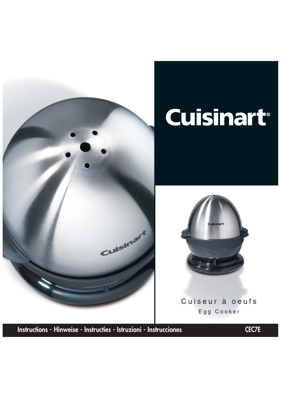

# Cuisinart®



Cuiseur à oeufs Egg Cooker

**Instructions - Hinweise - Instructies - Istruzioni - Instrucciones CEC7E**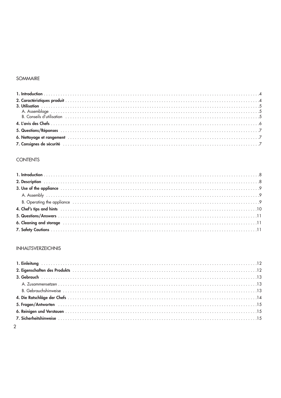#### SOMMAIRE

#### **CONTENTS**

#### **INHALTSVERZEICHNIS**

| 2. Eigenschaften des Produkts<br>12 |  |
|-------------------------------------|--|
|                                     |  |
|                                     |  |
|                                     |  |
|                                     |  |
|                                     |  |
|                                     |  |
|                                     |  |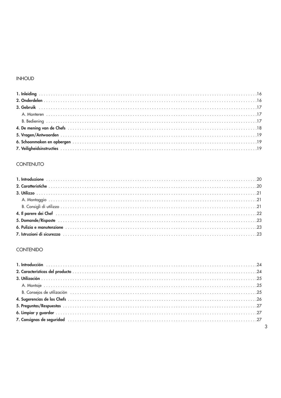#### **INHOUD**

## CONTENUTO

### **CONTENIDO**

| $\overline{3}$ |  |
|----------------|--|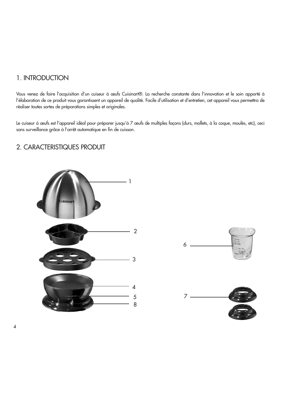## 1. INTRODUCTION

Vous venez de faire l'acquisition d'un cuiseur à œufs Cuisinart®. La recherche constante dans l'innovation et le soin apporté à l'élaboration de ce produit vous garantissent un appareil de qualité. Facile d'utilisation et d'entretien, cet appareil vous permettra de réaliser toutes sortes de préparations simples et originales.

Le cuiseur à œufs est l'appareil idéal pour préparer jusqu'à 7 œufs de multiples façons (durs, mollets, à la coque, moulés, etc), ceci sans surveillance grâce à l'arrêt automatique en fin de cuisson.

# 2. CARACTERISTIQUES PRODUIT



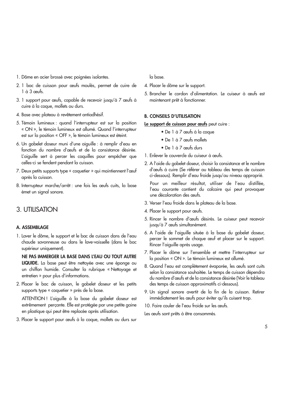- 1. Dôme en acier brossé avec poignées isolantes.
- 2. 1 bac de cuisson pour œufs moulés, permet de cuire de 1 à 3 œufs.
- 3. 1 support pour œufs, capable de recevoir jusqu'à 7 œufs à cuire à la coque, mollets ou durs.
- 4. Base avec plateau à revêtement antiadhésif.
- 5. Témoin lumineux : quand l'interrupteur est sur la position « ON », le témoin lumineux est allumé. Quand l'interrupteur est sur la position « OFF », le témoin lumineux est éteint.
- 6. Un gobelet doseur muni d'une aiguille : à remplir d'eau en fonction du nombre d'œufs et de la consistance désirée. L'aiguille sert à percer les coquilles pour empêcher que celles-ci se fendent pendant la cuisson.
- 7. Deux petits supports type « coquetier » qui maintiennent l'œuf après la cuisson.
- 8. Interrupteur marche/arrêt : une fois les œufs cuits, la base émet un signal sonore.

## 3. UTILISATION

## **A. ASSEMBLAGE**

1. Laver le dôme, le support et le bac de cuisson dans de l'eau chaude savonneuse ou dans le lave-vaisselle (dans le bac supérieur uniquement).

**NE PAS IMMERGER LA BASE DANS L'EAU OU TOUT AUTRE LIQUIDE.** La base peut être nettoyée avec une éponge ou un chiffon humide. Consulter la rubrique « Nettoyage et entretien » pour plus d'informations.

2. Placer le bac de cuisson, le gobelet doseur et les petits supports type « coquetier » près de la base.

ATTENTION ! L'aiguille à la base du gobelet doseur est extrêmement perçante. Elle est protégée par une petite gaine en plastique qui peut être replacée après utilisation.

3. Placer le support pour œufs à la coque, mollets ou durs sur

la base.

- 4. Placer le dôme sur le support.
- 5. Brancher le cordon d'alimentation. Le cuiseur à œufs est maintenant prêt à fonctionner.

### **B. CONSEILS D'UTILISATION**

**Le support de cuisson pour œufs** peut cuire :

- De 1 à 7 œufs à la coque
- De 1 à 7 œufs mollets
- De 1 à 7 œufs durs
- 1. Enlever le couvercle du cuiseur à œufs.
- 2. A l'aide du gobelet doseur, choisir la consistance et le nombre d'œufs à cuire (Se référer au tableau des temps de cuisson ci-dessous). Remplir d'eau froide jusqu'au niveau approprié.

Pour un meilleur résultat, utiliser de l'eau distillée, l'eau courante contient du calcaire qui peut provoquer une décoloration des œufs.

- 3. Verser l'eau froide dans le plateau de la base.
- 4. Placer le support pour œufs.
- 5. Rincer le nombre d'œufs désirés. Le cuiseur peut recevoir jusqu'à 7 œufs simultanément.
- 6. A l'aide de l'aiguille située à la base du gobelet doseur, percer le sommet de chaque œuf et placer sur le support. Rincer l'aiguille après usage.
- 7. Placer le dôme sur l'ensemble et mettre l'interrupteur sur la position « ON ». Le témoin lumineux est allumé.
- 8. Quand l'eau est complètement évaporée, les œufs sont cuits selon la consistance souhaitée. Le temps de cuisson dépendra du nombre d'œufs et de la consistance désirée (Voir le tableau des temps de cuisson approximatifs ci-dessous).
- 9. Un signal sonore avertit de la fin de la cuisson. Retirer immédiatement les œufs pour éviter qu'ils cuisent trop.
- 10. Faire couler de l'eau froide sur les œufs.

Les œufs sont prêts à être consommés.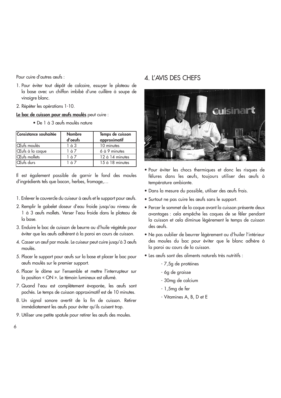Pour cuire d'autres œufs :

- 1. Pour éviter tout dépôt de calcaire, essuyer le plateau de la base avec un chiffon imbibé d'une cuillère à soupe de vinaigre blanc.
- 2. Répéter les opérations 1-10.
- **Le bac de cuisson pour œufs moulés** peut cuire :
	- De 1 à 3 œufs moulés nature

| Consistance souhaitée | <b>Nombre</b><br>d'oeufs | Temps de cuisson<br>approximatif |
|-----------------------|--------------------------|----------------------------------|
| CEufs moulés          | 1 à 3                    | 10 minutes                       |
| CEufs à la coque      | 1 à 7                    | 6 à 9 minutes                    |
| CEufs mollets         | 1 à 7                    | 12 à 14 minutes                  |
| CEufs durs            | 1 à 7                    | 15 à 18 minutes                  |

Il est également possible de garnir le fond des moules d'ingrédients tels que bacon, herbes, fromage,…

- 1. Enlever le couvercle du cuiseur à œufs et le support pour œufs.
- 2. Remplir le gobelet doseur d'eau froide jusqu'au niveau de 1 à 3 œufs mollets. Verser l'eau froide dans le plateau de la base.
- 3. Enduire le bac de cuisson de beurre ou d'huile végétale pour éviter que les œufs adhèrent à la paroi en cours de cuisson.
- 4. Casser un œuf par moule. Le cuiseur peut cuire jusqu'à 3 œufs moulés.
- 5. Placer le support pour œufs sur la base et placer le bac pour œufs moulés sur le premier support.
- 6. Placer le dôme sur l'ensemble et mettre l'interrupteur sur la position « ON ». Le témoin lumineux est allumé.
- 7. Quand l'eau est complètement évaporée, les œufs sont pochés. Le temps de cuisson approximatif est de 10 minutes.
- 8. Un signal sonore avertit de la fin de cuisson. Retirer immédiatement les œufs pour éviter qu'ils cuisent trop.
- 9. Utiliser une petite spatule pour retirer les œufs des moules.

## 4. L'AVIS DES CHEFS



- Pour éviter les chocs thermiques et donc les risques de fêlures dans les œufs, toujours utiliser des œufs à température ambiante.
- Dans la mesure du possible, utiliser des œufs frais.
- Surtout ne pas cuire les œufs sans le support.
- Percer le sommet de la coque avant la cuisson présente deux avantages : cela empêche les coques de se fêler pendant la cuisson et cela diminue légèrement le temps de cuisson des œufs.
- Ne pas oublier de beurrer légèrement ou d'huiler l'intérieur des moules du bac pour éviter que le blanc adhère à la paroi au cours de la cuisson.
- Les œufs sont des aliments naturels très nutritifs :
	- 7,5g de protéines
	- 6g de graisse
	- 30mg de calcium
	- 1,5mg de fer
	- Vitamines A, B, D et E

6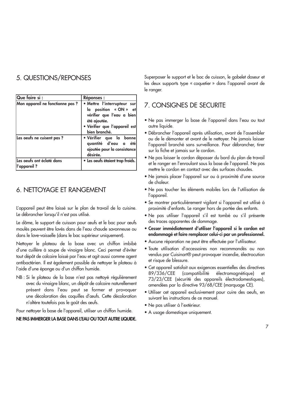# 5. QUESTIONS/REPONSES

| Que faire si :                  | <b>Réponses:</b>                                |
|---------------------------------|-------------------------------------------------|
| Mon appareil ne fonctionne pas? | • Mettre l'interrupteur sur                     |
|                                 | la position « ON » et                           |
|                                 | vérifier que l'eau a bien                       |
|                                 | été ajoutée.                                    |
|                                 | · Vérifier que l'appareil est                   |
|                                 | bien branché.                                   |
| Les oeufs ne cuisent pas?       | · Vérifier que la bonne<br>quantité d'eau a été |
|                                 | ajoutée pour la consistance                     |
|                                 | désirée.                                        |
| Les oeufs ont éclaté dans       | · Les oeufs étaient trop froids.                |
| ?  l'appareil                   |                                                 |

## 6. NETTOYAGE ET RANGEMENT

L'appareil peut être laissé sur le plan de travail de la cuisine. Le débrancher lorsqu'il n'est pas utilisé.

Le dôme, le support de cuisson pour œufs et le bac pour œufs moulés peuvent être lavés dans de l'eau chaude savonneuse ou dans le lave-vaisselle (dans le bac supérieur uniquement).

Nettoyer le plateau de la base avec un chiffon imbibé d'une cuillère à soupe de vinaigre blanc. Ceci permet d'éviter tout dépôt de calcaire laissé par l'eau et agit aussi comme agent antibactérien. Il est également possible de nettoyer le plateau à l'aide d'une éponge ou d'un chiffon humide.

NB : Si le plateau de la base n'est pas nettoyé régulièrement avec du vinaigre blanc, un dépôt de calcaire naturellement présent dans l'eau peut se former et provoquer une décoloration des coquilles d'œufs. Cette décoloration n'altère toutefois pas le goût des œufs.

Pour nettoyer la base de l'appareil, utiliser un chiffon humide.

## **NE PAS IMMERGER LA BASE DANS L'EAU OU TOUT AUTRE LIQUIDE.**

Superposer le support et le bac de cuisson, le gobelet doseur et les deux supports type « coquetier » dans l'appareil avant de le ranger.

## 7. CONSIGNES DE SECURITE

- Ne pas immerger la base de l'appareil dans l'eau ou tout autre liquide.
- Débrancher l'appareil après utilisation, avant de l'assembler ou de le démonter et avant de le nettoyer. Ne jamais laisser l'appareil branché sans surveillance. Pour débrancher, tirer sur la fiche et jamais sur le cordon.
- Ne pas laisser le cordon dépasser du bord du plan de travail et le ranger en l'enroulant sous la base de l'appareil. Ne pas mettre le cordon en contact avec des surfaces chaudes.
- Ne jamais placer l'appareil sur ou à proximité d'une source de chaleur.
- Ne pas toucher les éléments mobiles lors de l'utilisation de l'appareil.
- Se montrer particulièrement vigilant si l'appareil est utilisé à proximité d'enfants. Le ranger hors de portée des enfants.
- Ne pas utiliser l'appareil s'il est tombé ou s'il présente des traces apparentes de dommage.
- **Cesser immédiatement d'utiliser l'appareil si le cordon est endommagé et faire remplacer celui-ci par un professionnel.**
- Aucune réparation ne peut être effectuée par l'utilisateur.
- Toute utilisation d'accessoires non recommandés ou non vendus par Cuisinart® peut provoquer incendie, électrocution et risque de blessure.
- Cet appareil satisfait aux exigences essentielles des directives 89/336/CEE (compatibilité électromagnétique) 73/23/CEE (sécurité des appareils électrodomestiques), amendées par la directive 93/68/CEE (marquage CE).
- Utiliser cet appareil exclusivement pour cuire des oeufs, en suivant les instructions de ce manuel.
- Ne pas utiliser à l'extérieur.
- A usage domestique uniquement.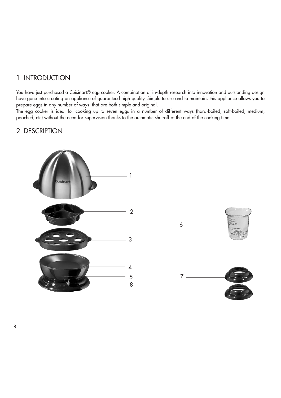## 1. INTRODUCTION

You have just purchased a Cuisinart® egg cooker. A combination of in-depth research into innovation and outstanding design have gone into creating an appliance of guaranteed high quality. Simple to use and to maintain, this appliance allows you to prepare eggs in any number of ways that are both simple and original.

The egg cooker is ideal for cooking up to seven eggs in a number of different ways (hard-boiled, soft-boiled, medium, poached, etc) without the need for supervision thanks to the automatic shut-off at the end of the cooking time.

## 2. DESCRIPTION



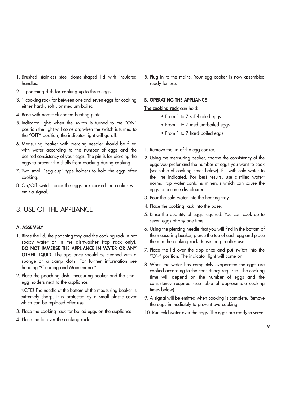- 1. Brushed stainless steel dome-shaped lid with insulated handles.
- 2. 1 poaching dish for cooking up to three eggs.
- 3. 1 cooking rack for between one and seven eggs for cooking either hard-, soft-, or medium-boiled.
- 4. Base with non-stick coated heating plate.
- 5. Indicator light: when the switch is turned to the "ON" position the light will come on; when the switch is turned to the "OFF" position, the indicator light will go off.
- 6. Measuring beaker with piercing needle: should be filled with water according to the number of eggs and the desired consistency of your eggs. The pin is for piercing the eggs to prevent the shells from cracking during cooking.
- 7. Two small "egg-cup" type holders to hold the eggs after cooking.
- 8. On/Off switch: once the eggs are cooked the cooker will emit a signal.

## 3. USE OF THE APPLIANCE

#### **A. ASSEMBLY**

- 1. Rinse the lid, the poaching tray and the cooking rack in hot soapy water or in the dishwasher (top rack only). **DO NOT IMMERSE THE APPLIANCE IN WATER OR ANY OTHER LIQUID**. The appliance should be cleaned with a sponge or a damp cloth. For further information see heading "Cleaning and Maintenance".
- 2. Place the poaching dish, measuring beaker and the small egg holders next to the appliance.

NOTE! The needle at the bottom of the measuring beaker is extremely sharp. It is protected by a small plastic cover which can be replaced after use.

- 3. Place the cooking rack for boiled eggs on the appliance.
- 4. Place the lid over the cooking rack.

5. Plug in to the mains. Your egg cooker is now assembled ready for use.

#### **B. OPERATING THE APPLIANCE**

**The cooking rack** can hold:

- From 1 to 7 soft-boiled eggs
- From 1 to 7 medium-boiled eggs
- From 1 to 7 hard-boiled eggs
- 1. Remove the lid of the egg cooker.
- 2. Using the measuring beaker, choose the consistency of the eggs you prefer and the number of eggs you want to cook (see table of cooking times below). Fill with cold water to the line indicated. For best results, use distilled water; normal tap water contains minerals which can cause the eggs to become discoloured.
- 3. Pour the cold water into the heating tray.
- 4. Place the cooking rack into the base.
- 5. Rinse the quantity of eggs required. You can cook up to seven eggs at any one time.
- 6. Using the piercing needle that you will find in the bottom of the measuring beaker, pierce the top of each egg and place them in the cooking rack. Rinse the pin after use.
- 7. Place the lid over the appliance and put switch into the "ON" position. The indicator light will come on.
- 8. When the water has completely evaporated the eggs are cooked according to the consistency required. The cooking time will depend on the number of eggs and the consistency required (see table of approximate cooking times below).
- 9. A signal will be emitted when cooking is complete. Remove the eggs immediately to prevent overcooking.
- 10. Run cold water over the eggs. The eggs are ready to serve.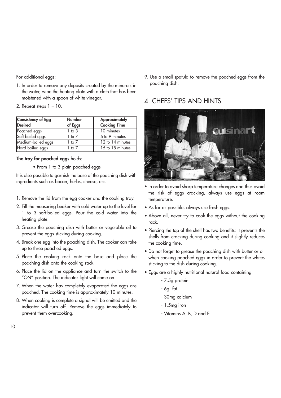For additional eggs:

- 1. In order to remove any deposits created by the minerals in the water, wipe the heating plate with a cloth that has been moistened with a spoon of white vinegar.
- 2. Repeat steps  $1 10$ .

| Consistency of Egg<br>Desired | <b>Number</b><br>of Eggs | <b>Approximately</b><br><b>Cooking Time</b> |
|-------------------------------|--------------------------|---------------------------------------------|
| Poached eggs                  | $1$ to $3$               | 10 minutes                                  |
| Soft boiled eggs              | 1 to 7                   | 6 to 9 minutes                              |
| Medium-boiled eggs            | 1 to 7                   | 12 to 14 minutes                            |
| Hard-boiled eggs              | 1 to 7                   | 15 to 18 minutes                            |

## **The tray for poached eggs** holds:

• From 1 to 3 plain poached eggs

It is also possible to garnish the base of the poaching dish with ingredients such as bacon, herbs, cheese, etc.

- 1. Remove the lid from the egg cooker and the cooking tray.
- 2. Fill the measuring beaker with cold water up to the level for 1 to 3 soft-boiled eggs. Pour the cold water into the heating plate.
- 3. Grease the poaching dish with butter or vegetable oil to prevent the eggs sticking during cooking.
- 4. Break one egg into the poaching dish. The cooker can take up to three poached eggs.
- 5. Place the cooking rack onto the base and place the poaching dish onto the cooking rack.
- 6. Place the lid on the appliance and turn the switch to the "ON" position. The indicator light will come on.
- 7. When the water has completely evaporated the eggs are poached. The cooking time is approximately 10 minutes.
- 8. When cooking is complete a signal will be emitted and the indicator will turn off. Remove the eggs immediately to prevent them overcooking.

9. Use a small spatula to remove the poached eggs from the poaching dish.

# 4. CHEFS' TIPS AND HINTS



- In order to avoid sharp temperature changes and thus avoid the risk of eggs cracking, always use eggs at room temperature.
- As far as possible, always use fresh eggs.
- Above all, never try to cook the eggs without the cooking rack.
- Piercing the top of the shell has two benefits: it prevents the shells from cracking during cooking and it slightly reduces the cooking time.
- Do not forget to grease the poaching dish with butter or oil when cooking poached eggs in order to prevent the whites sticking to the dish during cooking.
- Eggs are a highly nutritional natural food containing:
	- 7.5g protein
	- 6g fat
	- 30mg calcium
	- 1.5mg iron
	- Vitamins A, B, D and E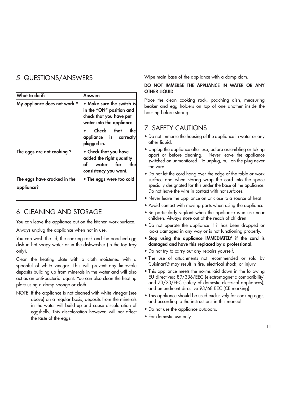# 5. QUESTIONS/ANSWERS

| What to do if:                             | <b>Answer:</b>                                                                                                |  |
|--------------------------------------------|---------------------------------------------------------------------------------------------------------------|--|
| My appliance does not work?                | • Make sure the switch is<br>in the "ON" position and<br>check that you have put<br>water into the appliance. |  |
|                                            | Check that<br>the<br>appliance is correctly<br><u>plugged in.</u>                                             |  |
| The eggs are not cooking?                  | • Check that you have<br>added the right quantity<br>water for<br>of<br>the<br>consistency you want.          |  |
| The eggs have cracked in the<br>appliance? | • The eggs were too cold                                                                                      |  |

# 6. CLEANING AND STORAGE

You can leave the appliance out on the kitchen work surface.

Always unplug the appliance when not in use.

You can wash the lid, the cooking rack and the poached egg dish in hot soapy water or in the dishwasher (in the top tray only).

Clean the heating plate with a cloth moistened with a spoonful of white vinegar. This will prevent any limescale deposits building up from minerals in the water and will also act as an anti-bacterial agent. You can also clean the heating plate using a damp sponge or cloth.

NOTE: If the appliance is not cleaned with white vinegar (see above) on a regular basis, deposits from the minerals in the water will build up and cause discoloration of eggshells. This discoloration however, will not affect the taste of the eggs.

Wipe main base of the appliance with a damp cloth.

### **DO NOT IMMERSE THE APPLIANCE IN WATER OR ANY OTHER LIQUID**

Place the clean cooking rack, poaching dish, measuring beaker and egg holders on top of one another inside the housing before storing.

# 7. SAFETY CAUTIONS

- Do not immerse the housing of the appliance in water or any other liquid.
- Unplug the appliance after use, before assembling or taking apart or before cleaning. Never leave the appliance switched on unmonitored. To unplug, pull on the plug never the wire.
- Do not let the cord hang over the edge of the table or work surface and when storing wrap the cord into the space specially designated for this under the base of the appliance. Do not leave the wire in contact with hot surfaces.
- Never leave the appliance on or close to a source of heat.
- Avoid contact with moving parts when using the appliance.
- Be particularly vigilant when the appliance is in use near children. Always store out of the reach of children.
- Do not operate the appliance if it has been dropped or looks damaged in any way or is not functioning properly.
- **Stop using the appliance IMMEDIATELY if the cord is damaged and have this replaced by a professional.**
- Do not try to carry out any repairs yourself.
- The use of attachments not recommended or sold by Cuisinart® may result in fire, electrical shock, or injury.
- This appliance meets the norms laid down in the following EU directives: 89/336/EEC (electromagnetic compatibility) and 73/23/EEC (safety of domestic electrical appliances), and amendment directive 93/68 EEC (CE marking).
- This appliance should be used exclusively for cooking eggs, and according to the instructions in this manual.
- Do not use the appliance outdoors.
- For domestic use only.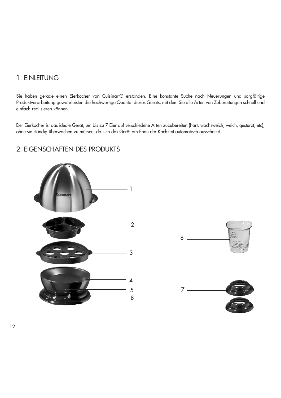## 1. EINLEITUNG

Sie haben gerade einen Eierkocher von Cuisinart® erstanden. Eine konstante Suche nach Neuerungen und sorgfältige Produktverarbeitung gewährleisten die hochwertige Qualität dieses Geräts, mit dem Sie alle Arten von Zubereitungen schnell und einfach realisieren können.

Der Eierkocher ist das ideale Gerät, um bis zu 7 Eier auf verschiedene Arten zuzubereiten (hart, wachsweich, weich, gestürzt, etc), ohne sie ständig überwachen zu müssen, da sich das Gerät am Ende der Kochzeit automatisch ausschaltet.

# 2 3 4 5 8 1

## 2. EIGENSCHAFTEN DES PRODUKTS



12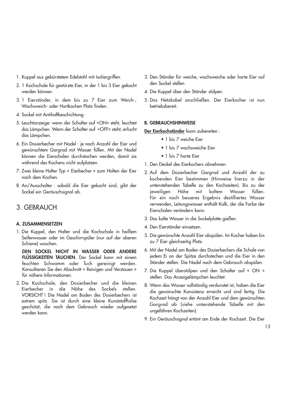- 1. Kuppel aus gebürstetem Edelstahl mit Isoliergriffen.
- 2. 1 Kochschale für gestürzte Eier, in der 1 bis 3 Eier gekocht werden können.
- 3. 1 Eierständer, in dem bis zu 7 Eier zum Weich-, Wachsweich- oder Hartkochen Platz finden.
- 4. Sockel mit Antihaftbeschichtung.
- 5. Leuchtanzeige: wenn der Schalter auf «ON» steht, leuchtet das Lämpchen. Wenn der Schalter auf «OFF» steht, erlischt das Lämpchen.
- 6. Ein Dosierbecher mit Nadel : je nach Anzahl der Eier und gewünschtem Gargrad mit Wasser füllen. Mit der Nadel können die Eierschalen durchstochen werden, damit sie während des Kochens nicht aufplatzen.
- 7. Zwei kleine Halter Typ « Eierbecher » zum Halten der Eier nach dem Kochen.
- 8. An/Ausschalter : sobald die Eier gekocht sind, gibt der Sockel ein Geräuschsignal ab.

## 3. GEBRAUCH

#### **A. ZUSAMMENSETZEN**

1. Die Kuppel, den Halter und die Kochschale in heißem Seifenwasser oder im Geschirrspüler (nur auf der oberen Schiene) waschen.

**DEN SOCKEL NICHT IN WASSER ODER ANDERE FLÜSSIGKEITEN TAUCHEN**. Der Sockel kann mit einem feuchten Schwamm oder Tuch gereinigt werden. Konsultieren Sie den Abschnitt « Reinigen und Verstauen » für nähere Informationen.

2. Die Kochschale, den Dosierbecher und die kleinen Eierbecher in die Nähe des Sockels stellen. VORSICHT ! Die Nadel am Boden des Dosierbechers ist extrem spitz. Sie ist durch eine kleine Kunststoffhülse geschützt, die nach dem Gebrauch wieder aufgesetzt werden kann.

- 3. Den Ständer für weiche, wachsweiche oder harte Eier auf den Sockel stellen.
- 4. Die Kuppel über den Ständer stülpen.
- 5. Das Netzkabel anschließen. Der Eierkocher ist nun betriebsbereit.

#### **B. GEBRAUCHSHINWEISE**

**Der Eierkochständer** kann zubereiten :

- 1 bis 7 weiche Eier
- 1 bis 7 wachsweiche Eier
- 1 bis 7 harte Eier
- 1. Den Deckel des Eierkochers abnehmen.
- 2. Auf dem Dosierbecher Gargrad und Anzahl der zu kochenden Eier bestimmen (Hinweise hierzu in der untenstehenden Tabelle zu den Kochzeiten). Bis zu der jeweiligen Höhe mit kaltem Wasser füllen. Für ein noch besseres Ergebnis destilliertes Wasser verwenden, Leitungswasser enthält Kalk, der die Farbe der Eierschalen verändern kann.
- 3. Das kalte Wasser in die Sockelplatte gießen.
- 4. Den Eierständer einsetzen.
- 5. Die gewünschte Anzahl Eier abspülen. Im Kocher haben bis zu 7 Eier gleichzeitig Platz.
- 6. Mit der Nadel am Boden des Dosierbechers die Schale von jedem Ei an der Spitze durchstechen und die Eier in den Ständer stellen. Die Nadel nach dem Gebrauch abspülen.
- 7. Die Kuppel überstülpen und den Schalter auf « ON » stellen. Das Anzeigelämpchen leuchtet.
- 8. Wenn das Wasser vollständig verdunstet ist, haben die Eier die gewünschte Konsistenz erreicht und sind fertig. Die Kochzeit hängt von der Anzahl Eier und dem gewünschten Gargrad ab (siehe untenstehende Tabelle mit den ungefähren Kochzeiten).
- 9. Ein Geräuschsignal ertönt am Ende der Kochzeit. Die Eier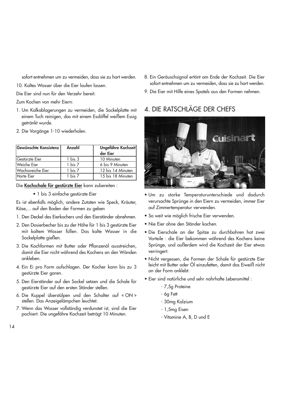sofort entnehmen um zu vermeiden, dass sie zu hart werden.

10. Kaltes Wasser über die Eier laufen lassen.

Die Eier sind nun für den Verzehr bereit.

Zum Kochen von mehr Eiern:

- 1. Um Kalkablagerungen zu vermeiden, die Sockelplatte mit einem Tuch reinigen, das mit einem Esslöffel weißem Essig getränkt wurde.
- 2. Die Vorgänge 1-10 wiederholen.

| Gewünschte Konsistenz   | Anzahl  | Ungefähre Kochzeit |
|-------------------------|---------|--------------------|
|                         |         | der Eier           |
| Gestürzte Eier          | 1 bis 3 | 10 Minuten         |
| Weiche Eier             | 1 bis 7 | 6 bis 9 Minuten    |
| <b>Wachsweiche Eier</b> | 1 bis 7 | 12 bis 14 Minuten  |
| Harte Eier              | his 7   | 15 bis 18 Minuten  |

Die **Kochschale für gestürzte Eier** kann zubereiten :

• 1 bis 3 einfache gestürzte Eier

Es ist ebenfalls möglich, andere Zutaten wie Speck, Kräuter, Käse,... auf den Boden der Formen zu geben

- 1. Den Deckel des Eierkochers und den Eierständer abnehmen.
- 2. Den Dosierbecher bis zu der Höhe für 1 bis 3 gestürzte Eier mit kaltem Wasser füllen. Das kalte Wasser in die Sockelplatte gießen.
- 3. Die Kochformen mit Butter oder Pflanzenöl ausstreichen, damit die Eier nicht während des Kochens an den Wänden ankleben.
- 4. Ein Ei pro Form aufschlagen. Der Kocher kann bis zu 3 gestürzte Eier garen.
- 5. Den Eierständer auf den Sockel setzen und die Schale für gestürzte Eier auf den ersten Ständer stellen.
- 6. Die Kuppel überstülpen und den Schalter auf « ON » stellen. Das Anzeigelämpchen leuchtet.
- 7. Wenn das Wasser vollständig verdunstet ist, sind die Eier pochiert. Die ungefähre Kochzeit beträgt 10 Minuten.
- 8. Ein Geräuschsignal ertönt am Ende der Kochzeit. Die Eier sofort entnehmen um zu vermeiden, dass sie zu hart werden.
- 9. Die Eier mit Hilfe eines Spatels aus den Formen nehmen.

# 4. DIE RATSCHLÄGE DER CHEFS



- Um zu starke Temperaturunterschiede und dadurch verursachte Sprünge in den Eiern zu vermeiden, immer Eier auf Zimmertemperatur verwenden.
- So weit wie möglich frische Eier verwenden.
- Nie Eier ohne den Ständer kochen.
- Die Eierschale an der Spitze zu durchbohren hat zwei Vorteile : die Eier bekommen während des Kochens keine Sprünge, und außerdem wird die Kochzeit der Eier etwas verringert.
- Nicht vergessen, die Formen der Schale für gestürzte Eier leicht mit Butter oder Öl einzufetten, damit das Eiweiß nicht an der Form anklebt.
- Eier sind natürliche und sehr nahrhafte Lebensmittel :
	- 7,5g Proteine
	- 6g Fett
	- 30mg Kalzium
	- 1,5mg Eisen
	- Vitamine A, B, D und E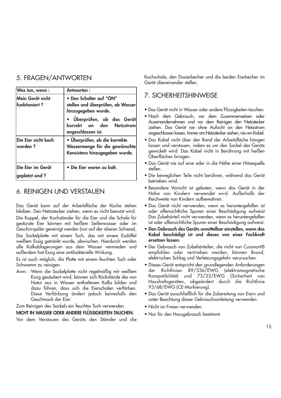# 5. FRAGEN/ANTWORTEN

| Was tun, wenn:                        | Antworten:                                                                                                                                                          |  |
|---------------------------------------|---------------------------------------------------------------------------------------------------------------------------------------------------------------------|--|
| Mein Gerät nicht<br>lfunktioniert ?   | • Den Schalter auf "ON"<br>stellen und überprüfen, ob Wasser<br>hinzugegeben wurde.<br>· Überprüfen, ob das Gerät<br>korrekt an den Netzstrom<br>angeschlossen ist. |  |
| Die Eier nicht koch<br>werden?        | · Überprüfen, ob die korrekte<br>Wassermenge für die gewünschte<br>Konsistenz hinzugegeben wurde.                                                                   |  |
| Die Eier im Gerät<br> geplatzt sind ? | · Die Eier waren zu kalt.                                                                                                                                           |  |

# 6. REINIGEN UND VERSTAUEN

Das Gerät kann auf der Arbeitsfläche der Küche stehen bleiben. Den Netzstecker ziehen, wenn es nicht benutzt wird. Die Kuppel, der Kochständer für die Eier und die Schale für gestürzte Eier können mit heißem Seifenwasser oder im Geschirrspüler gereinigt werden (nur auf der oberen Schiene). Die Sockelplatte mit einem Tuch, das mit einem Esslöffel weißem Essig getränkt wurde, abwischen. Hierdurch werden alle Kalkablagerungen aus dem Wasser vermieden und außerdem hat Essig eine antibakterielle Wirkung.

Es ist auch möglich, die Platte mit einem feuchten Tuch oder Schwamm zu reinigen.

Anm. : Wenn die Sockelplatte nicht regelmäßig mit weißem Essig gesäubert wird, können sich Rückstände des von Natur aus in Wasser enthaltenen Kalks bilden und dazu führen, dass sich die Eierschalen verfärben. Diese Verfärbung ändert jedoch keinesfalls den Geschmack der Eier.

Zum Reinigen des Sockels ein feuchtes Tuch verwenden.

**NICHT IN WASSER ODER ANDERE FLÜSSIGKEITEN TAUCHEN.**

Vor dem Verstauen des Geräts den Ständer und die

Kochschale, den Dosierbecher und die beiden Eierbecher im Gerät übereinander stellen.

## 7. SICHERHEITSHINWEISE

- Das Gerät nicht in Wasser oder andere Flüssigkeiten tauchen.
- Nach dem Gebrauch, vor dem Zusammensetzen oder Auseinandernehmen und vor dem Reinigen den Netzstecker ziehen. Das Gerät nie ohne Aufsicht an den Netzstrom angeschlossen lassen. Immer am Netzstecker ziehen, nie am Kabel.
- Das Kabel nicht über den Rand der Arbeitsfläche hängen lassen und verstauen, indem es um den Sockel des Geräts gewickelt wird. Das Kabel nicht in Berührung mit heißen Oberflächen bringen.
- Das Gerät nie auf eine oder in die Nähe einer Hitzequelle stellen.
- Die beweglichen Teile nicht berühren, während das Gerät betrieben wird.
- Besondere Vorsicht ist geboten, wenn das Gerät in der Nähe von Kindern verwendet wird. Außerhalb der Reichweite von Kindern aufbewahren.
- Das Gerät nicht verwenden, wenn es heruntergefallen ist oder offensichtliche Spuren einer Beschädigung aufweist Das Zubehörteil nicht verwenden, wenn es heruntergefallen ist oder offensichtliche Spuren einer Beschädigung aufweist.
- **Den Gebrauch des Geräts unmittelbar einstellen, wenn das Kabel beschädigt ist und dieses von einer Fachkraft ersetzen lassen.**
- Der Gebrauch von Zubehörteilen, die nicht von Cuisinart® empfohlen oder vertrieben werden, können Brand, elektrischen Schlag und Verletzungsgefahr verursachen.
- Dieses Gerät entspricht den grundlegenden Anforderungen der Richtlinien 89/336/EWG (elektromagnetische Kompatibilität) und 73/23/EWG (Sicherheit von Haushaltsgeräten, abgeändert durch die Richtlinie 93/68/EWG (CE-Markierung).
- Das Gerät ausschließlich für die Zubereitung von Eiern und unter Beachtung dieser Gebrauchsanleitung verwenden.
- Nicht im Freien verwenden.
- Nur für den Hausgebrauch bestimmt.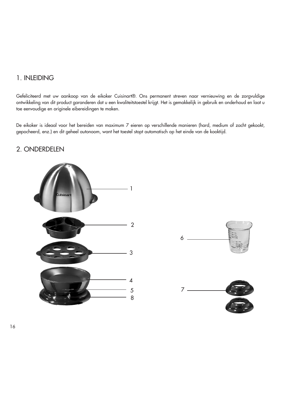## 1. INLEIDING

Gefeliciteerd met uw aankoop van de eikoker Cuisinart®. Ons permanent streven naar vernieuwing en de zorgvuldige ontwikkeling van dit product garanderen dat u een kwaliteitstoestel krijgt. Het is gemakkelijk in gebruik en onderhoud en laat u toe eenvoudige en originele eibereidingen te maken.

De eikoker is ideaal voor het bereiden van maximum 7 eieren op verschillende manieren (hard, medium of zacht gekookt, gepocheerd, enz.) en dit geheel autonoom, want het toestel stopt automatisch op het einde van de kooktijd.

# 2. ONDERDELEN





16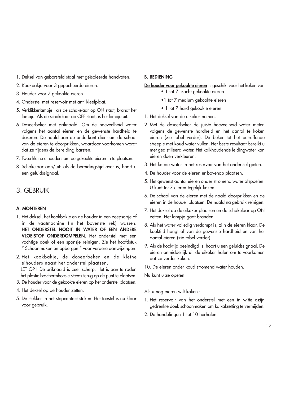- 1. Deksel van geborsteld staal met geïsoleerde handvaten.
- 2. Kookbakje voor 3 gepocheerde eieren.
- 3. Houder voor 7 gekookte eieren.
- 4. Onderstel met reservoir met anti-kleefplaat.
- 5. Verklikkerlampje : als de schakelaar op ON staat, brandt het lampje. Als de schakelaar op OFF staat, is het lampje uit.
- 6. Doseerbeker met priknaald. Om de hoeveelheid water volgens het aantal eieren en de gewenste hardheid te doseren. De naald aan de onderkant dient om de schaal van de eieren te doorprikken, waardoor voorkomen wordt dat ze tijdens de bereiding barsten.
- 7. Twee kleine eihouders om de gekookte eieren in te plaatsen.
- 8. Schakelaar aan/uit: als de bereidingstijd over is, hoort u een geluidssignaal.

## 3. GEBRUIK

#### **A. MONTEREN**

- 1. Het deksel, het kookbakje en de houder in een zeepsopje of in de vaatmachine (in het bovenste rek) wassen. **HET ONDERSTEL NOOIT IN WATER OF EEN ANDERE VLOEISTOF ONDERDOMPELEN.** Het onderstel met een vochtige doek of een sponsje reinigen. Zie het hoofdstuk " Schoonmaken en opbergen " voor verdere aanwijzingen.
- 2. Het kookbakje, de doseerbeker en de kleine eihouders naast het onderstel plaatsen. LET OP ! De priknaald is zeer scherp. Het is aan te raden het plastic beschermhoesje steeds terug op de punt te plaatsen.
- 3. De houder voor de gekookte eieren op het onderstel plaatsen.
- 4. Het deksel op de houder zetten.
- 5. De stekker in het stopcontact steken. Het toestel is nu klaar voor gebruik.

#### **B. BEDIENING**

#### **De houder voor gekookte eieren** is geschikt voor het koken van

- 1 tot 7 zacht gekookte eieren
- •1 tot 7 medium gekookte eieren
- 1 tot 7 hard gekookte eieren
- 1. Het deksel van de eikoker nemen.
- 2. Met de doseerbeker de juiste hoeveelheid water meten volgens de gewenste hardheid en het aantal te koken eieren (zie tabel verder). De beker tot het betreffende streepje met koud water vullen. Het beste resultaat bereikt u met gedistilleerd water. Het kalkhoudende leidingwater kan eieren doen verkleuren.
- 3. Het koude water in het reservoir van het onderstel gieten.
- 4. De houder voor de eieren er bovenop plaatsen.
- 5. Het gewenst aantal eieren onder stromend water afspoelen. U kunt tot 7 eieren tegelijk koken.
- 6. De schaal van de eieren met de naald doorprikken en de eieren in de houder plaatsen. De naald na gebruik reinigen.
- 7. Het deksel op de eikoker plaatsen en de schakelaar op ON zetten. Het lampje gaat branden.
- 8. Als het water volledig verdampt is, zijn de eieren klaar. De kooktijd hangt af van de gewenste hardheid en van het aantal eieren (zie tabel verder).
- 9. Als de kooktijd beëindigd is, hoort u een geluidssignaal. De eieren onmiddellijk uit de eikoker halen om te voorkomen dat ze verder koken.
- 10. De eieren onder koud stromend water houden.

Nu kunt u ze opeten.

Als u nog eieren wilt koken :

- 1. Het reservoir van het onderstel met een in witte azijn gedrenkte doek schoonmaken om kalkafzetting te vermijden.
- 2. De handelingen 1 tot 10 herhalen.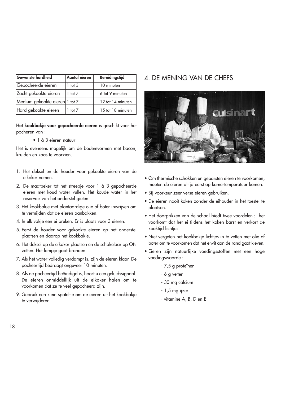| Gewenste hardheid              | Aantal eieren | <b>Bereidingstijd</b> |
|--------------------------------|---------------|-----------------------|
| Gepocheerde eieren             | tot $3$       | 10 minuten            |
| Zacht gekookte eieren          | $1$ tot $7$   | 6 tot 9 minuten       |
| Medium gekookte eieren 1 tot 7 |               | 12 tot 14 minuten     |
| Hard gekookte eieren           | tot $7$       | 15 tot 18 minuten     |

**Het kookbakje voor gepocheerde eieren** is geschikt voor het pocheren van :

• 1 à 3 eieren natuur

Het is eveneens mogelijk om de bodemvormen met bacon, kruiden en kaas te voorzien.

- 1. Het deksel en de houder voor gekookte eieren van de eikoker nemen.
- 2. De maatbeker tot het streepje voor 1 à 3 gepocheerde eieren met koud water vullen. Het koude water in het reservoir van het onderstel gieten.
- 3. Het kookbakje met plantaardige olie of boter inwrijven om te vermijden dat de eieren aanbakken.
- 4. In elk vakje een ei breken. Er is plaats voor 3 eieren.
- 5. Eerst de houder voor gekookte eieren op het onderstel plaatsen en daarop het kookbakje.
- 6. Het deksel op de eikoker plaatsen en de schakelaar op ON zetten. Het lampje gaat branden.
- 7. Als het water volledig verdampt is, zijn de eieren klaar. De pocheertijd bedraagt ongeveer 10 minuten.
- 8. Als de pocheertijd beëindigd is, hoort u een geluidssignaal. De eieren onmiddellijk uit de eikoker halen om te voorkomen dat ze te veel gepocheerd zijn.
- 9. Gebruik een klein spateltje om de eieren uit het kookbakje te verwijderen.

# 4. DE MENING VAN DE CHEFS



- Om thermische schokken en gebarsten eieren te voorkomen, moeten de eieren altijd eerst op kamertemperatuur komen.
- Bij voorkeur zeer verse eieren gebruiken.
- De eieren nooit koken zonder de eihouder in het toestel te plaatsen.
- Het doorprikken van de schaal biedt twee voordelen : het voorkomt dat het ei tijdens het koken barst en verkort de kooktijd lichtjes.
- Niet vergeten het kookbakje lichtjes in te vetten met olie of boter om te voorkomen dat het eiwit aan de rand gaat kleven.
- Eieren zijn natuurlijke voedingsstoffen met een hoge voedingswaarde :
	- 7,5 g proteïnen
	- 6 g vetten
	- 30 mg calcium
	- 1,5 mg ijzer
	- vitamine A, B, D en E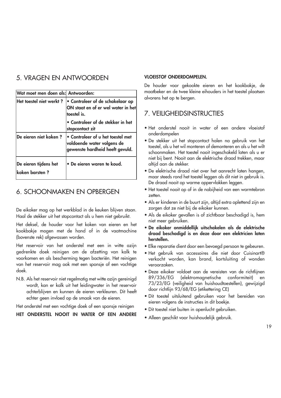# 5. VRAGEN EN ANTWOORDEN

| Wat moet men doen als: Antwoorden:      |                                                                                                    |
|-----------------------------------------|----------------------------------------------------------------------------------------------------|
| Het toestel niet werkt?                 | • Controleer of de schakelaar op<br>ON staat en of er wel water in het<br>toestel is.              |
|                                         | · Controleer of de stekker in het<br>stopcontact zit                                               |
| De eieren niet koken?                   | • Controleer of u het toestel met<br>voldoende water volgens de<br>gewenste hardheid heeft gevuld. |
| De eieren tijdens het<br>koken barsten? | · De eieren waren te koud.                                                                         |

# 6. SCHOONMAKEN EN OPBERGEN

De eikoker mag op het werkblad in de keuken blijven staan. Haal de stekker uit het stopcontact als u hem niet gebruikt.

Het deksel, de houder voor het koken van eieren en het kookbakje mogen met de hand of in de vaatmachine (bovenste rek) afgewassen worden.

Het reservoir van het onderstel met een in witte azijn gedrenkte doek reinigen om de afzetting van kalk te voorkomen en als bescherming tegen bacteriën. Het reinigen van het reservoir mag ook met een sponsje of een vochtige doek.

N.B. Als het reservoir niet regelmatig met witte azijn gereinigd wordt, kan er kalk uit het leidingwater in het reservoir achterblijven en kunnen de eieren verkleuren. Dit heeft echter geen invloed op de smaak van de eieren.

Het onderstel met een vochtige doek of een sponsje reinigen

## **HET ONDERSTEL NOOIT IN WATER OF EEN ANDERE**

#### **VLOEISTOF ONDERDOMPELEN.**

De houder voor gekookte eieren en het kookbakje, de maatbeker en de twee kleine eihouders in het toestel plaatsen alvorens het op te bergen.

# 7. VEILIGHEIDSINSTRUCTIES

- Het onderstel nooit in water of een andere vloeistof onderdompelen
- De stekker uit het stopcontact halen na gebruik van het toestel, als u het wil monteren of demonteren en als u het wilt schoonmaken. Het toestel nooit ingeschakeld laten als u er niet bij bent. Nooit aan de elektrische draad trekken, maar altijd aan de stekker.
- De elektrische draad niet over het aanrecht laten hangen, maar steeds rond het toestel leggen als dit niet in gebruik is. De draad nooit op warme oppervlakken leggen.
- Het toestel nooit op of in de nabijheid van een warmtebron zetten.
- Als er kinderen in de buurt zijn, altijd extra oplettend zijn en zorgen dat ze niet bij de eikoker kunnen.
- Als de eikoker gevallen is of zichtbaar beschadiad is, hem niet meer gebruiken.
- **De eikoker onmiddellijk uitschakelen als de elektrische draad beschadigd is en deze door een elektricien laten herstellen.**
- Elke reparatie dient door een bevoegd persoon te gebeuren.
- Het gebruik van accessoires die niet door Cuisinart® verkocht worden, kan brand, kortsluiting of wonden veroorzaken.
- Deze eikoker voldoet aan de vereisten van de richtlijnen 89/336/EG (elektromagnetische conformiteit) en 73/23/EG (veiligheid van huishoudtoestellen), gewijzigd door richtlijn 93/68/EG (etikettering CE)
- Dit toestel uitsluitend gebruiken voor het bereiden van eieren volgens de instructies in dit boekje.
- Dit toestel niet buiten in openlucht gebruiken.
- Alleen geschikt voor huishoudelijk gebruik.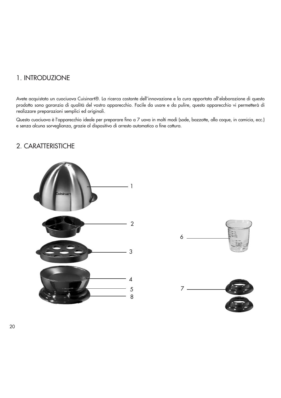## 1. INTRODUZIONE

Avete acquistato un cuociuova Cuisinart®. La ricerca costante dell'innovazione e la cura apportata all'elaborazione di questo prodotto sono garanzia di qualità del vostro apparecchio. Facile da usare e da pulire, questo apparecchio vi permetterà di realizzare preparazioni semplici ed originali.

Questo cuociuova è l'apparecchio ideale per preparare fino a 7 uova in molti modi (sode, bazzotte, alla coque, in camicia, ecc.) e senza alcuna sorveglianza, grazie al dispositivo di arresto automatico a fine cottura.

# 2. CARATTERISTICHE



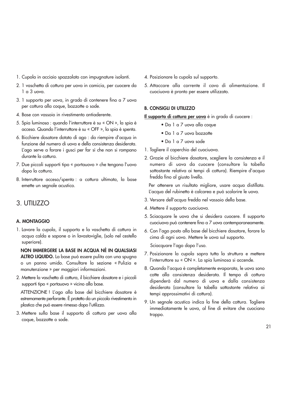- 1. Cupola in acciaio spazzolato con impugnature isolanti.
- 2. 1 vaschetta di cottura per uova in camicia, per cuocere da 1 a 3 uova.
- 3. 1 supporto per uova, in grado di contenere fino a 7 uova per cottura alla coque, bazzotte o sode.
- 4. Base con vassoio in rivestimento antiaderente.
- 5. Spia luminosa : quando l'interruttore è su « ON », la spia è accesa. Quando l'interruttore è su « OFF », la spia è spenta.
- 6. Bicchiere dosatore dotato di ago : da riempire d'acqua in funzione del numero di uova e della consistenza desiderata. L'ago serve a forare i gusci per far sì che non si rompano durante la cottura.
- 7. Due piccoli supporti tipo « portauovo » che tengono l'uovo dopo la cottura.
- 8. Interruttore acceso/spento : a cottura ultimata, la base emette un segnale acustico.

## 3. UTILIZZO

## **A. MONTAGGIO**

1. Lavare la cupola, il supporto e la vaschetta di cottura in acqua calda e sapone o in lavastoviglie, (solo nel cestello superiore).

**NON IMMERGERE LA BASE IN ACQUA NÉ IN QUALSIASI ALTRO LIQUIDO.** La base può essere pulita con una spugna o un panno umido. Consultare la sezione « Pulizia e manutenzione » per maggiori informazioni.

2. Mettere la vaschetta di cottura, il bicchiere dosatore e i piccoli supporti tipo « portauovo » vicino alla base.

ATTENZIONE ! L'ago alla base del bicchiere dosatore è estremamente perforante. È protetto da un piccolo rivestimento in plastica che può essere rimesso dopo l'utilizzo.

3. Mettere sulla base il supporto di cottura per uova alla coque, bazzotte o sode.

- 4. Posizionare la cupola sul supporto.
- 5. Attaccare alla corrente il cavo di alimentazione. Il cuociuova è pronto per essere utilizzato.

#### **B. CONSIGLI DI UTILIZZO**

**Il supporto di cottura per uova** è in grado di cuocere :

- Da 1 a 7 uova alla coque
- Da 1 a 7 uova bazzotte
- Da 1 a 7 uova sode
- 1. Togliere il coperchio del cuociuova.
- 2. Grazie al bicchiere dosatore, scegliere la consistenza e il numero di uova da cuocere (consultare la tabella sottostante relativa ai tempi di cottura). Riempire d'acqua fredda fino al giusto livello.

Per ottenere un risultato migliore, usare acqua distillata. L'acqua del rubinetto è calcarea e può scolorire le uova.

- 3. Versare dell'acqua fredda nel vassoio della base.
- 4. Mettere il supporto cuociuova.
- 5. Sciacquare le uova che si desidera cuocere. Il supporto cuociuova può contenere fino a 7 uova contemporaneamente.
- 6. Con l'ago posto alla base del bicchiere dosatore, forare la cima di ogni uovo. Mettere le uova sul supporto.

Sciacquare l'ago dopo l'uso.

- 7. Posizionare la cupola sopra tutta la struttura e mettere l'interruttore su « ON ». La spia luminosa si accende.
- 8. Quando l'acqua è completamente evaporata, le uova sono cotte alla consistenza desiderata. Il tempo di cottura dipenderà dal numero di uova e dalla consistenza desiderata (consultare la tabella sottostante relativa ai tempi approssimativi di cottura).
- 9. Un segnale acustico indica la fine della cottura. Togliere immediatamente le uova, al fine di evitare che cuociano troppo.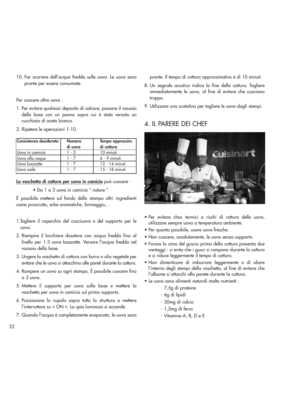10. Far scorrere dell'acqua fredda sulle uova. Le uova sono pronte per essere consumate.

Per cuocere altre uova :

- 1. Per evitare qualsiasi deposito di calcare, passare il vassoio della base con un panno sopra cui è stato versato un cucchiaio di aceto bianco.
- 2. Ripetere le operazioni 1-10.

| Consistenza desiderata | <b>Numero</b><br>di uova | Tempo approssim.<br>di cottura |
|------------------------|--------------------------|--------------------------------|
| Uova in camicia        | 1 - 3                    | 10 minuti                      |
| Uova alla coque        | 1 - 7                    | $6 - 9$ minuti                 |
| Uova bazzotte          | 1 - 7                    | 12 - 14 minuti                 |
| IUova sode             | 1 - 7                    | 15 - 18 minuti                 |

**La vaschetta di cottura per uova in camicia** può cuocere :

• Da 1 a 3 uova in camicia " nature "

È possibile mettere sul fondo dello stampo altri ingredienti come prosciutto, erbe aromatiche, formaggio,…

- 1.Togliere il coperchio del cuociuova e del supporto per le uova.
- 2. Riempire il bicchiere dosatore con acqua fredda fino al livello per 1-3 uova bazzotte. Versare l'acqua fredda nel vassoio della base.
- 3. Ungere la vaschetta di cottura con burro o olio vegetale per evitare che le uova si attacchino alle pareti durante la cottura.
- 4. Rompere un uovo su ogni stampo. È possibile cuocere fino a 3 uova.
- 5. Mettere il supporto per uova sulla base e mettere la vaschetta per uova in camicia sul primo supporto.
- 6. Posizionare la cupola sopra tutta la struttura e mettere l'interruttore su « ON ». La spia luminosa si accende.
- 7. Quando l'acqua è completamente evaporata, le uova sono

pronte. Il tempo di cottura approssimativo è di 10 minuti.

- 8. Un segnale acustico indica la fine della cottura. Togliere immediatamente le uova, al fine di evitare che cuociano troppo.
- 9. Utilizzare una scatolina per togliere le uova dagli stampi.

# 4. IL PARERE DEI CHEF



- Per evitare choc termici e rischi di rottura delle uova, utilizzare sempre uova a temperatura ambiente.
- Per quanto possibile, usare uova fresche.
- Non cuocere, assolutamente, le uova senza supporto.
- Forare la cima del guscio prima della cottura presenta due vantaggi : si evita che i gusci si rompano durante la cottura e si riduce leggermente il tempo di cottura.
- Non dimenticare di imburrare leggermente o di oliare l'interno degli stampi della vaschetta, al fine di evitare che l'albume si attacchi alla parete durante la cottura.
- Le uova sono alimenti naturali molto nutrienti :
	- 7,5g di proteine
	- 6g di lipidi
	- 30mg di calcio
	- 1,5mg di ferro
	- Vitamine A, B, D e E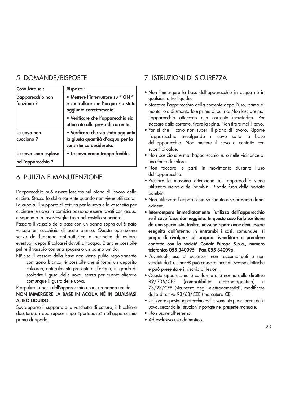# 5. DOMANDE/RISPOSTE

| Cosa fare se :                            | <b>Risposte:</b>                                                                                     |
|-------------------------------------------|------------------------------------------------------------------------------------------------------|
| L'apparecchio non<br>funziona?            | • Mettere l'interruttore su " ON "<br>e controllare che l'acqua sia stata<br>aggiunta correttamente. |
|                                           | • Verificare che l'apparecchio sia<br>attaccato alla presa di corrente.                              |
| Le vova non<br>cuociono?                  | · Verificare che sia stata aggiunta<br>la giusta quantità d'acqua per la<br>consistenza desiderata.  |
| Le vova sono esplose<br>nell'apparecchio? | • Le vova erano troppo fredde.                                                                       |

# 6. PULIZIA E MANUTENZIONE

L'apparecchio può essere lasciato sul piano di lavoro della cucina. Staccarlo dalla corrente quando non viene utilizzato. La cupola, il supporto di cottura per le uova e la vaschetta per cucinare le uova in camicia possono essere lavati con acqua e sapone o in lavastoviglie (solo nel cestello superiore).

Passare il vassoio della base con un panno sopra cui è stato versato un cucchiaio di aceto bianco. Questa operazione serve da funzione antibatterica e permette di evitare eventuali depositi calcarei dovuti all'acqua. È anche possibile pulire il vassoio con una spugna o un panno umido.

NB : se il vassoio della base non viene pulito regolarmente con aceto bianco, è possibile che si formi un deposito calcareo, naturalmente presente nell'acqua, in grado di scolorire i gusci delle uova, senza per questo alterare comunque il gusto delle uova.

### Per pulire la base dell'apparecchio usare un panno umido. **NON IMMERGERE LA BASE IN ACQUA NÉ IN QUALSIASI ALTRO LIQUIDO.**

Sovrapporre il supporto e la vaschetta di cottura, il bicchiere dosatore e i due supporti tipo «portauovo» nell'apparecchio prima di riporlo.

# 7. ISTRUZIONI DI SICUREZZA

- Non immergere la base dell'apparecchio in acqua né in qualsiasi altro liquido.
- Staccare l'apparecchio dalla corrente dopo l'uso, prima di montarlo o di smontarlo e prima di pulirlo. Non lasciare mai l'apparecchio attaccato alla corrente incustodito. Per staccare dalla corrente, tirare la spina. Non tirare mai il cavo.
- Far sì che il cavo non superi il piano di lavoro. Riporre l'apparecchio avvolgendo il cavo sotto la base dell'apparecchio. Non mettere il cavo a contatto con superfici calde.
- Non posizionare mai l'apparecchio su o nelle vicinanze di una fonte di calore.
- Non toccare le parti in movimento durante l'uso dell'apparecchio.
- Prestare la massima attenzione se l'apparecchio viene utilizzato vicino a dei bambini. Riporlo fuori della portata bambini.
- Non utilizzare l'apparecchio se caduto o se presenta danni evidenti.
- **Interrompere immediatamente l'utilizzo dell'apparecchio se il cavo fosse danneggiato. In questo caso farlo sostituire da uno specialista. Inoltre, nessuna riparazione deve essere eseguita dall'utente. In entrambi i casi, comunque, si prega di rivolgersi al proprio rivenditore o prendere contatto con la società Conair Europe S.p.a., numero telefonico 055 340095 - Fax 055 340096.**
- L'eventuale uso di accessori non raccomandati o non venduti da Cuisinart® può causare incendi, scosse elettriche e può presentare il rischio di lesioni.
- Questo apparecchio è conforme alle norme delle direttive 89/336/CEE (compatibilità elettromagnetica) e 73/23/CEE (sicurezza degli elettrodomestici), modificate dalla direttiva 93/68/CEE (marcatura CE).
- Utilizzare questo apparecchio esclusivamente per cuocere delle uova, secondo le istruzioni riportate nel presente manuale.
- Non usare all'esterno.
- Ad esclusivo uso domestico.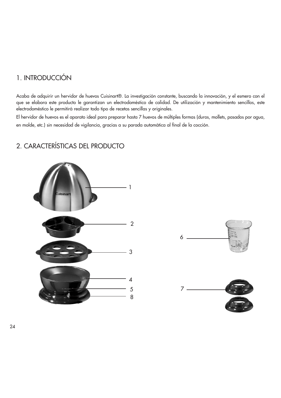# 1. INTRODUCCIÓN

Acaba de adquirir un hervidor de huevos Cuisinart®. La investigación constante, buscando la innovación, y el esmero con el que se elabora este producto le garantizan un electrodoméstico de calidad. De utilización y mantenimiento sencillos, este electrodoméstico le permitirá realizar todo tipo de recetas sencillas y originales.

El hervidor de huevos es el aparato ideal para preparar hasta 7 huevos de múltiples formas (duros, mollets, pasados por agua, en molde, etc.) sin necesidad de vigilancia, gracias a su parada automática al final de la cocción.

# 1uisina 2 3 4 5 8

# 2. CARACTERÍSTICAS DEL PRODUCTO



24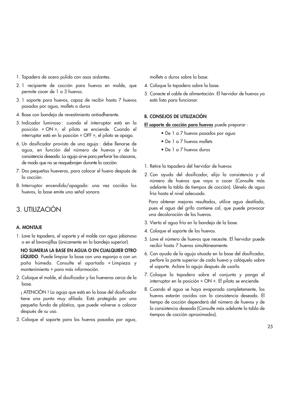- 1. Tapadera de acero pulido con asas aislantes.
- 2. 1 recipiente de cocción para huevos en molde, que permite cocer de 1 a 3 huevos.
- 3. 1 soporte para huevos, capaz de recibir hasta 7 huevos pasados por agua, mollets o duros
- 4. Base con bandeja de revestimiento antiadherente.
- 5. Indicador luminoso : cuando el interruptor está en la posición « ON », el piloto se enciende. Cuando el interruptor está en la posición « OFF », el piloto se apaga.
- 6. Un dosificador provisto de una aguja : debe llenarse de agua, en función del número de huevos y de la consistencia deseada. La aguja sirve para perforar las cáscaras, de modo que no se resquebrajen durante la cocción.
- 7. Dos pequeñas hueveras, para colocar el huevo después de la cocción.
- 8. Interruptor encendido/apagado: una vez cocidos los huevos, la base emite una señal sonora.

# 3. UTILIZACIÓN

## **A. MONTAJE**

1. Lave la tapadera, el soporte y el molde con agua jabonosa o en el lavavajillas (únicamente en la bandeja superior).

**NO SUMERJA LA BASE EN AGUA O EN CUALQUIER OTRO LÍQUIDO**. Puede limpiar la base con una esponja o con un paño húmedo. Consulte el apartado « Limpieza y mantenimiento » para más información.

2. Coloque el molde, el dosificador y las hueveras cerca de la base.

¡ ATENCIÓN ! La aguja que está en la base del dosificador tiene una punta muy afilada. Está protegida por una pequeña funda de plástico, que puede volverse a colocar después de su uso.

3. Coloque el soporte para los huevos pasados por agua,

mollets o duros sobre la base.

- 4. Coloque la tapadera sobre la base.
- 5. Conecte el cable de alimentación. El hervidor de huevos ya está listo para funcionar.

#### **B. CONSEJOS DE UTILIZACIÓN**

**El soporte de cocción para huevos** puede preparar :

- De 1 a 7 huevos pasados por agua
- De 1 a 7 huevos mollets
- De 1 a 7 huevos duros
- 1. Retire la tapadera del hervidor de huevos
- 2. Con ayuda del dosificador, elija la consistencia y el número de huevos que vaya a cocer (Consulte más adelante la tabla de tiempos de cocción). Llénelo de agua fría hasta el nivel adecuado.

Para obtener mejores resultados, utilice agua destilada, pues el agua del grifo contiene cal, que puede provocar una decoloración de los huevos.

- 3. Vierta el agua fría en la bandeja de la base.
- 4. Coloque el soporte de los huevos.
- 5. Lave el número de huevos que necesite. El hervidor puede recibir hasta 7 huevos simultáneamente.
- 6. Con ayuda de la aguja situada en la base del dosificador, perfore la parte superior de cada huevo y colóquelo sobre el soporte. Aclare la aguja después de usarla.
- 7. Coloque la tapadera sobre el conjunto y ponga el interruptor en la posición « ON ». El piloto se enciende.
- 8. Cuando el agua se haya evaporado completamente, los huevos estarán cocidos con la consistencia deseada. El tiempo de cocción dependerá del número de huevos y de la consistencia deseada (Consulte más adelante la tabla de tiempos de cocción aproximados).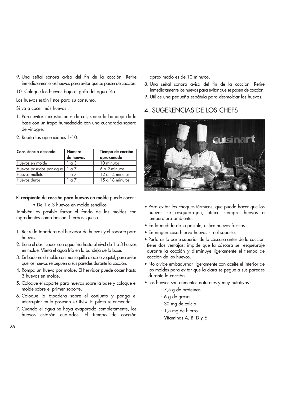- 9. Una señal sonora avisa del fin de la cocción. Retire inmediatamente los huevos para evitar que se pasen de cocción.
- 10. Coloque los huevos bajo el grifo del agua fría.

Los huevos están listos para su consumo.

Si va a cocer más huevos :

- 1. Para evitar incrustaciones de cal, seque la bandeja de la base con un trapo humedecido con una cucharada sopera de vinagre.
- 2. Repita las operaciones 1-10.

| Consistencia deseada    | Número<br>de huevos | Tiempo de cocción<br>aproximado |
|-------------------------|---------------------|---------------------------------|
| Huevos en molde         | $\alpha$ 3          | 10 minutos                      |
| Huevos pasados por agua | $\alpha$ 7          | 6 a 9 minutos                   |
| Huevos mollets          | $\alpha$ 7          | $12a14$ minutos                 |
| Huevos duros            | $\sim$ 7            | $15a18$ minutos                 |

**El recipiente de cocción para huevos en molde** puede cocer :

• De 1 a 3 huevos en molde sencillos

También es posible forrar el fondo de los moldes con ingredientes como beicon, hierbas, queso...

- 1. Retire la tapadera del hervidor de huevos y el soporte para huevos.
- 2. Llene el dosificador con agua fría hasta el nivel de 1 a 3 huevos en molde. Vierta el agua fría en la bandeja de la base.
- 3. Embadurne el molde con mantequilla o aceite vegetal, para evitar que los huevos se peguen a sus paredes durante la cocción.
- 4. Rompa un huevo por molde. El hervidor puede cocer hasta 3 huevos en molde.
- 5. Coloque el soporte para huevos sobre la base y coloque el molde sobre el primer soporte.
- 6. Coloque la tapadera sobre el conjunto y ponga el interruptor en la posición « ON ». El piloto se enciende.
- 7. Cuando el agua se haya evaporado completamente, los huevos estarán cuajados. El tiempo de cocción

aproximado es de 10 minutos.

- 8. Una señal sonora avisa del fin de la cocción. Retire inmediatamente los huevos para evitar que se pasen de cocción.
- 9. Utilice una pequeña espátula para desmoldar los huevos.

## 4. SUGERENCIAS DE LOS CHEFS



- Para evitar los choques térmicos, que puede hacer que los huevos se resquebrajen, utilice siempre huevos a temperatura ambiente.
- En la medida de lo posible, utilice huevos frescos.
- En ningún caso hierva huevos sin el soporte.
- Perforar la parte superior de la cáscara antes de la cocción tiene dos ventajas: impide que la cáscara se resquebraje durante la cocción y disminuye ligeramente el tiempo de cocción de los huevos.
- No olvide embadurnar ligeramente con aceite el interior de los moldes para evitar que la clara se pegue a sus paredes durante la cocción.
- Los huevos son alimentos naturales y muy nutritivos :
	- 7,5 g de proteínas
	- 6 g de grasa
	- 30 mg de calcio
	- 1,5 mg de hierro
	- Vitaminas A, B, D y E